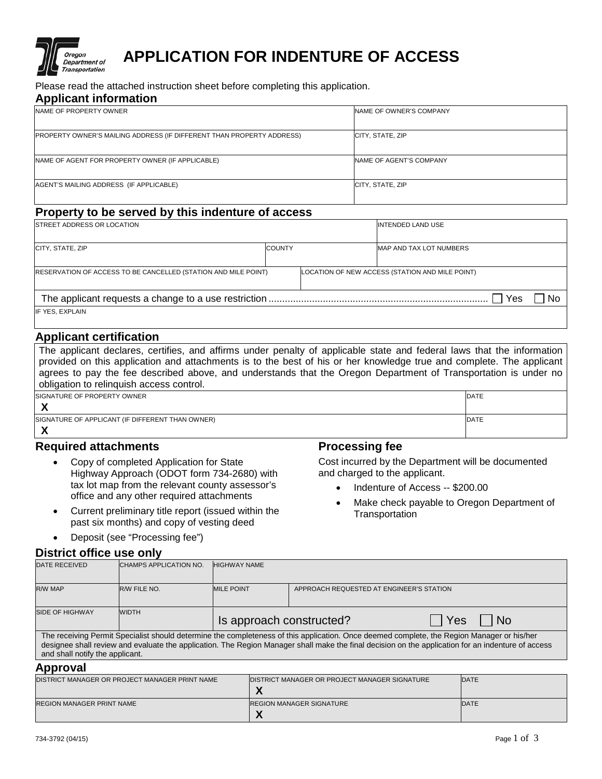

# **APPLICATION FOR INDENTURE OF ACCESS**

Please read the attached instruction sheet before completing this application.

#### **Applicant information**

| <b>INAME OF PROPERTY OWNER</b>                                        | NAME OF OWNER'S COMPANY |
|-----------------------------------------------------------------------|-------------------------|
| PROPERTY OWNER'S MAILING ADDRESS (IF DIFFERENT THAN PROPERTY ADDRESS) | CITY, STATE, ZIP        |
| NAME OF AGENT FOR PROPERTY OWNER (IF APPLICABLE)                      | NAME OF AGENT'S COMPANY |
| AGENT'S MAILING ADDRESS (IF APPLICABLE)                               | CITY, STATE, ZIP        |

# **Property to be served by this indenture of access**

| <b>ISTREET ADDRESS OR LOCATION</b>                                    |               | INTENDED LAND USE |                                                 |    |
|-----------------------------------------------------------------------|---------------|-------------------|-------------------------------------------------|----|
| CITY, STATE, ZIP                                                      | <b>COUNTY</b> |                   | <b>MAP AND TAX LOT NUMBERS</b>                  |    |
| <b>RESERVATION OF ACCESS TO BE CANCELLED (STATION AND MILE POINT)</b> |               |                   | LOCATION OF NEW ACCESS (STATION AND MILE POINT) |    |
| Yes                                                                   |               |                   |                                                 | No |
| IF YES, EXPLAIN                                                       |               |                   |                                                 |    |

# **Applicant certification**

The applicant declares, certifies, and affirms under penalty of applicable state and federal laws that the information provided on this application and attachments is to the best of his or her knowledge true and complete. The applicant agrees to pay the fee described above, and understands that the Oregon Department of Transportation is under no obligation to relinquish access control.

| <b>ISIGNATURE OF PROPERTY OWNER</b>              |
|--------------------------------------------------|
|                                                  |
| SIGNATURE OF APPLICANT (IF DIFFERENT THAN OWNER) |

### **X**

# **Required attachments**

- Copy of completed Application for State Highway Approach (ODOT form 734-2680) with tax lot map from the relevant county assessor's office and any other required attachments
- Current preliminary title report (issued within the past six months) and copy of vesting deed
- Deposit (see "Processing fee")

# **Processing fee**

Cost incurred by the Department will be documented and charged to the applicant.

- Indenture of Access -- \$200.00
- Make check payable to Oregon Department of **Transportation**

DATE

**DATE** 

| District office use only                                                                                                                   |                        |                                         |                                          |  |  |  |
|--------------------------------------------------------------------------------------------------------------------------------------------|------------------------|-----------------------------------------|------------------------------------------|--|--|--|
| <b>DATE RECEIVED</b>                                                                                                                       | CHAMPS APPLICATION NO. | <b>HIGHWAY NAME</b>                     |                                          |  |  |  |
| <b>R/W MAP</b>                                                                                                                             | R/W FILE NO.           | <b>MILE POINT</b>                       | APPROACH REQUESTED AT ENGINEER'S STATION |  |  |  |
| <b>SIDE OF HIGHWAY</b>                                                                                                                     | <b>WIDTH</b>           | Is approach constructed?<br>Yes<br>l No |                                          |  |  |  |
| The receiving Permit Specialist should determine the completeness of this application. Once deemed complete, the Region Manager or his/her |                        |                                         |                                          |  |  |  |

The receiving Permit Specialist should determine the completeness of this application. Once deemed complete, the Region Manager or his/her designee shall review and evaluate the application. The Region Manager shall make the final decision on the application for an indenture of access and shall notify the applicant.

#### **Approval**

| .                                              |                                                       |      |  |  |  |
|------------------------------------------------|-------------------------------------------------------|------|--|--|--|
| DISTRICT MANAGER OR PROJECT MANAGER PRINT NAME | <b>IDISTRICT MANAGER OR PROJECT MANAGER SIGNATURE</b> | DATE |  |  |  |
|                                                | 74                                                    |      |  |  |  |
| <b>REGION MANAGER PRINT NAME</b>               | <b>REGION MANAGER SIGNATURE</b>                       | DATE |  |  |  |
|                                                | $\overline{\phantom{a}}$                              |      |  |  |  |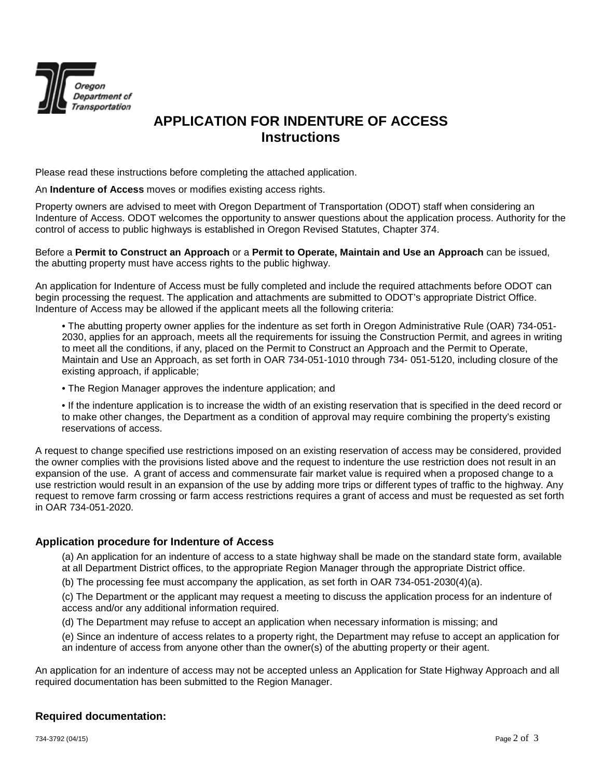

# **APPLICATION FOR INDENTURE OF ACCESS Instructions**

Please read these instructions before completing the attached application.

An **Indenture of Access** moves or modifies existing access rights.

Property owners are advised to meet with Oregon Department of Transportation (ODOT) staff when considering an Indenture of Access. ODOT welcomes the opportunity to answer questions about the application process. Authority for the control of access to public highways is established in Oregon Revised Statutes, Chapter 374.

Before a **Permit to Construct an Approach** or a **Permit to Operate, Maintain and Use an Approach** can be issued, the abutting property must have access rights to the public highway.

An application for Indenture of Access must be fully completed and include the required attachments before ODOT can begin processing the request. The application and attachments are submitted to ODOT's appropriate District Office. Indenture of Access may be allowed if the applicant meets all the following criteria:

• The abutting property owner applies for the indenture as set forth in Oregon Administrative Rule (OAR) 734-051- 2030, applies for an approach, meets all the requirements for issuing the Construction Permit, and agrees in writing to meet all the conditions, if any, placed on the Permit to Construct an Approach and the Permit to Operate, Maintain and Use an Approach, as set forth in OAR 734-051-1010 through 734- 051-5120, including closure of the existing approach, if applicable;

• The Region Manager approves the indenture application; and

• If the indenture application is to increase the width of an existing reservation that is specified in the deed record or to make other changes, the Department as a condition of approval may require combining the property's existing reservations of access.

A request to change specified use restrictions imposed on an existing reservation of access may be considered, provided the owner complies with the provisions listed above and the request to indenture the use restriction does not result in an expansion of the use. A grant of access and commensurate fair market value is required when a proposed change to a use restriction would result in an expansion of the use by adding more trips or different types of traffic to the highway. Any request to remove farm crossing or farm access restrictions requires a grant of access and must be requested as set forth in OAR 734-051-2020.

### **Application procedure for Indenture of Access**

(a) An application for an indenture of access to a state highway shall be made on the standard state form, available at all Department District offices, to the appropriate Region Manager through the appropriate District office.

(b) The processing fee must accompany the application, as set forth in OAR 734-051-2030(4)(a).

(c) The Department or the applicant may request a meeting to discuss the application process for an indenture of access and/or any additional information required.

(d) The Department may refuse to accept an application when necessary information is missing; and

(e) Since an indenture of access relates to a property right, the Department may refuse to accept an application for an indenture of access from anyone other than the owner(s) of the abutting property or their agent.

An application for an indenture of access may not be accepted unless an Application for State Highway Approach and all required documentation has been submitted to the Region Manager.

## **Required documentation:**